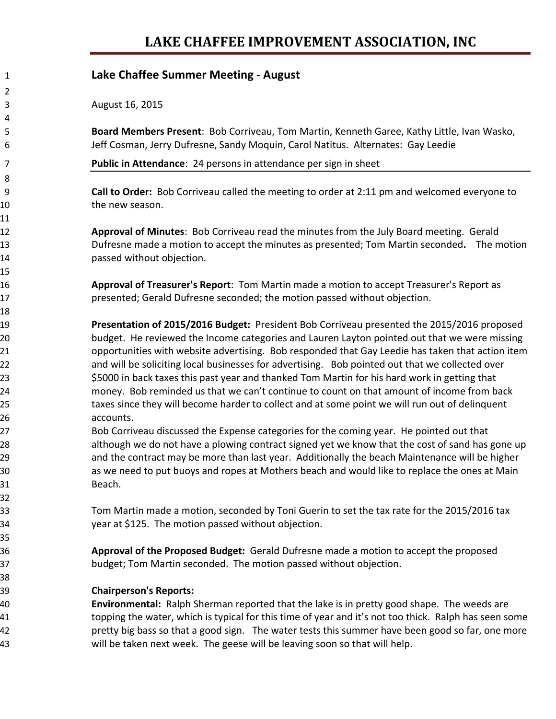### **LAKE CHAFFEE IMPROVEMENT ASSOCIATION, INC**

### **Lake Chaffee Summer Meeting ‐ August**

August 16, 2015

 **Board Members Present**: Bob Corriveau, Tom Martin, Kenneth Garee, Kathy Little, Ivan Wasko, Jeff Cosman, Jerry Dufresne, Sandy Moquin, Carol Natitus. Alternates: Gay Leedie

**Public in Attendance**: 24 persons in attendance per sign in sheet

 **Call to Order:** Bob Corriveau called the meeting to order at 2:11 pm and welcomed everyone to 10 the new season.

 **Approval of Minutes**: Bob Corriveau read the minutes from the July Board meeting. Gerald Dufresne made a motion to accept the minutes as presented; Tom Martin seconded**.** The motion passed without objection.

 **Approval of Treasurer's Report**: Tom Martin made a motion to accept Treasurer's Report as presented; Gerald Dufresne seconded; the motion passed without objection.

 **Presentation of 2015/2016 Budget:** President Bob Corriveau presented the 2015/2016 proposed budget. He reviewed the Income categories and Lauren Layton pointed out that we were missing opportunities with website advertising. Bob responded that Gay Leedie has taken that action item and will be soliciting local businesses for advertising. Bob pointed out that we collected over \$5000 in back taxes this past year and thanked Tom Martin for his hard work in getting that money. Bob reminded us that we can't continue to count on that amount of income from back taxes since they will become harder to collect and at some point we will run out of delinquent accounts.

 Bob Corriveau discussed the Expense categories for the coming year. He pointed out that 28 although we do not have a plowing contract signed yet we know that the cost of sand has gone up and the contract may be more than last year. Additionally the beach Maintenance will be higher as we need to put buoys and ropes at Mothers beach and would like to replace the ones at Main Beach.

 Tom Martin made a motion, seconded by Toni Guerin to set the tax rate for the 2015/2016 tax year at \$125. The motion passed without objection.

 **Approval of the Proposed Budget:** Gerald Dufresne made a motion to accept the proposed budget; Tom Martin seconded. The motion passed without objection.

#### **Chairperson's Reports:**

 **Environmental:** Ralph Sherman reported that the lake is in pretty good shape. The weeds are topping the water, which is typical for this time of year and it's not too thick. Ralph has seen some pretty big bass so that a good sign. The water tests this summer have been good so far, one more will be taken next week. The geese will be leaving soon so that will help.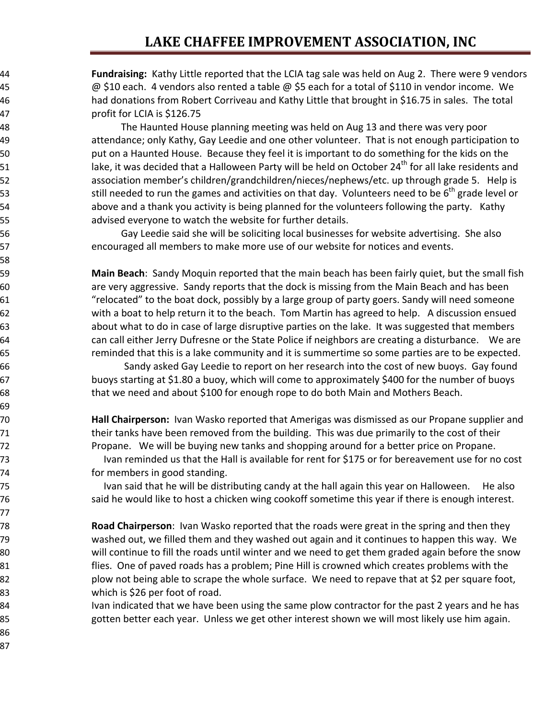## **LAKE CHAFFEE IMPROVEMENT ASSOCIATION, INC**

 **Fundraising:** Kathy Little reported that the LCIA tag sale was held on Aug 2. There were 9 vendors  $\omega$  \$10 each. 4 vendors also rented a table  $\omega$  \$5 each for a total of \$110 in vendor income. We had donations from Robert Corriveau and Kathy Little that brought in \$16.75 in sales. The total profit for LCIA is \$126.75

 The Haunted House planning meeting was held on Aug 13 and there was very poor attendance; only Kathy, Gay Leedie and one other volunteer. That is not enough participation to 50 but on a Haunted House. Because they feel it is important to do something for the kids on the lake, it was decided that a Halloween Party will be held on October 24<sup>th</sup> for all lake residents and 52 association member's children/grandchildren/nieces/nephews/etc. up through grade 5. Help is 53 53 still needed to run the games and activities on that day. Volunteers need to be  $6^{th}$  grade level or above and a thank you activity is being planned for the volunteers following the party. Kathy advised everyone to watch the website for further details.

 Gay Leedie said she will be soliciting local businesses for website advertising. She also encouraged all members to make more use of our website for notices and events.

 **Main Beach**: Sandy Moquin reported that the main beach has been fairly quiet, but the small fish are very aggressive. Sandy reports that the dock is missing from the Main Beach and has been "relocated" to the boat dock, possibly by a large group of party goers. Sandy will need someone with a boat to help return it to the beach. Tom Martin has agreed to help. A discussion ensued about what to do in case of large disruptive parties on the lake. It was suggested that members can call either Jerry Dufresne or the State Police if neighbors are creating a disturbance. We are reminded that this is a lake community and it is summertime so some parties are to be expected.

**1988 ISS EXEDED** Sandy asked Gay Leedie to report on her research into the cost of new buoys. Gay found buoys starting at \$1.80 a buoy, which will come to approximately \$400 for the number of buoys that we need and about \$100 for enough rope to do both Main and Mothers Beach.

 **Hall Chairperson:** Ivan Wasko reported that Amerigas was dismissed as our Propane supplier and their tanks have been removed from the building. This was due primarily to the cost of their **Propane.** We will be buying new tanks and shopping around for a better price on Propane.

 Ivan reminded us that the Hall is available for rent for \$175 or for bereavement use for no cost for members in good standing.

 Ivan said that he will be distributing candy at the hall again this year on Halloween. He also said he would like to host a chicken wing cookoff sometime this year if there is enough interest.

 **Road Chairperson**: Ivan Wasko reported that the roads were great in the spring and then they washed out, we filled them and they washed out again and it continues to happen this way. We will continue to fill the roads until winter and we need to get them graded again before the snow flies. One of paved roads has a problem; Pine Hill is crowned which creates problems with the 82 plow not being able to scrape the whole surface. We need to repave that at \$2 per square foot, which is \$26 per foot of road.

84 Ivan indicated that we have been using the same plow contractor for the past 2 years and he has gotten better each year. Unless we get other interest shown we will most likely use him again.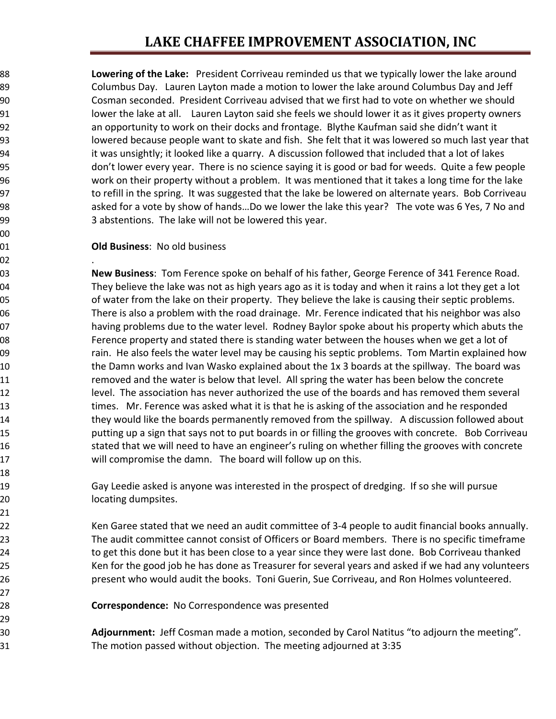# **LAKE CHAFFEE IMPROVEMENT ASSOCIATION, INC**

 **Lowering of the Lake:** President Corriveau reminded us that we typically lower the lake around Columbus Day. Lauren Layton made a motion to lower the lake around Columbus Day and Jeff Cosman seconded. President Corriveau advised that we first had to vote on whether we should 91 lower the lake at all. Lauren Layton said she feels we should lower it as it gives property owners an opportunity to work on their docks and frontage. Blythe Kaufman said she didn't want it lowered because people want to skate and fish. She felt that it was lowered so much last year that 94 it was unsightly; it looked like a quarry. A discussion followed that included that a lot of lakes don't lower every year. There is no science saying it is good or bad for weeds. Quite a few people work on their property without a problem. It was mentioned that it takes a long time for the lake 97 to refill in the spring. It was suggested that the lake be lowered on alternate years. Bob Corriveau 98 38 98 asked for a vote by show of hands...Do we lower the lake this year? The vote was 6 Yes, 7 No and 3 abstentions. The lake will not be lowered this year.

#### **Old Business**: No old business

 . **New Business**: Tom Ference spoke on behalf of his father, George Ference of 341 Ference Road. They believe the lake was not as high years ago as it is today and when it rains a lot they get a lot of water from the lake on their property. They believe the lake is causing their septic problems. There is also a problem with the road drainage. Mr. Ference indicated that his neighbor was also 07 having problems due to the water level. Rodney Baylor spoke about his property which abuts the Ference property and stated there is standing water between the houses when we get a lot of 09 rain. He also feels the water level may be causing his septic problems. Tom Martin explained how 10 the Damn works and Ivan Wasko explained about the 1x 3 boards at the spillway. The board was removed and the water is below that level. All spring the water has been below the concrete 12 level. The association has never authorized the use of the boards and has removed them several times. Mr. Ference was asked what it is that he is asking of the association and he responded they would like the boards permanently removed from the spillway. A discussion followed about 15 15 putting up a sign that says not to put boards in or filling the grooves with concrete. Bob Corriveau stated that we will need to have an engineer's ruling on whether filling the grooves with concrete will compromise the damn. The board will follow up on this.

 Gay Leedie asked is anyone was interested in the prospect of dredging. If so she will pursue locating dumpsites.

 Ken Garee stated that we need an audit committee of 3‐4 people to audit financial books annually. The audit committee cannot consist of Officers or Board members. There is no specific timeframe to get this done but it has been close to a year since they were last done. Bob Corriveau thanked Ken for the good job he has done as Treasurer for several years and asked if we had any volunteers present who would audit the books. Toni Guerin, Sue Corriveau, and Ron Holmes volunteered.

**Correspondence:** No Correspondence was presented

 **Adjournment:** Jeff Cosman made a motion, seconded by Carol Natitus "to adjourn the meeting". The motion passed without objection. The meeting adjourned at 3:35